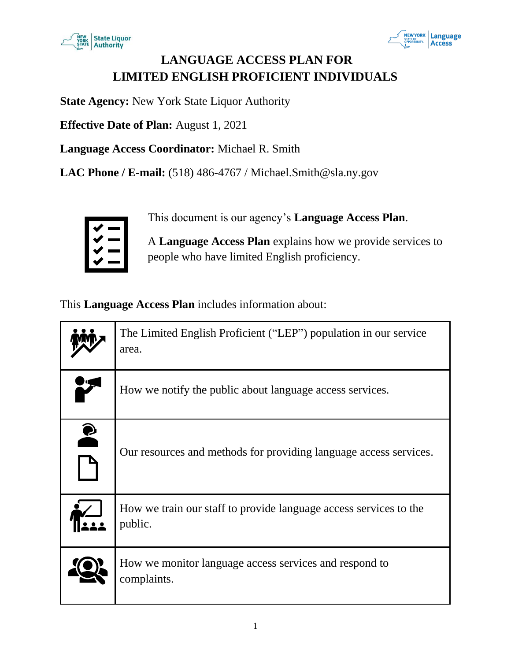



### **LANGUAGE ACCESS PLAN FOR LIMITED ENGLISH PROFICIENT INDIVIDUALS**

**State Agency:** New York State Liquor Authority

**Effective Date of Plan:** August 1, 2021

**Language Access Coordinator:** Michael R. Smith

**LAC Phone / E-mail:** (518) 486-4767 / Michael.Smith@sla.ny.gov



This document is our agency's **Language Access Plan**.

A **Language Access Plan** explains how we provide services to people who have limited English proficiency.

This **Language Access Plan** includes information about:

|           | The Limited English Proficient ("LEP") population in our service<br>area.    |
|-----------|------------------------------------------------------------------------------|
|           | How we notify the public about language access services.                     |
| $\bullet$ | Our resources and methods for providing language access services.            |
|           | How we train our staff to provide language access services to the<br>public. |
|           | How we monitor language access services and respond to<br>complaints.        |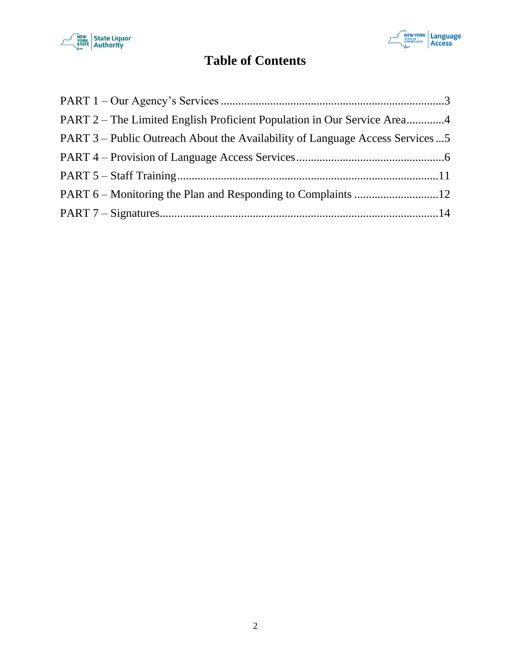



## **Table of Contents**

| PART 2 – The Limited English Proficient Population in Our Service Area4      |  |
|------------------------------------------------------------------------------|--|
| PART 3 – Public Outreach About the Availability of Language Access Services5 |  |
|                                                                              |  |
|                                                                              |  |
|                                                                              |  |
|                                                                              |  |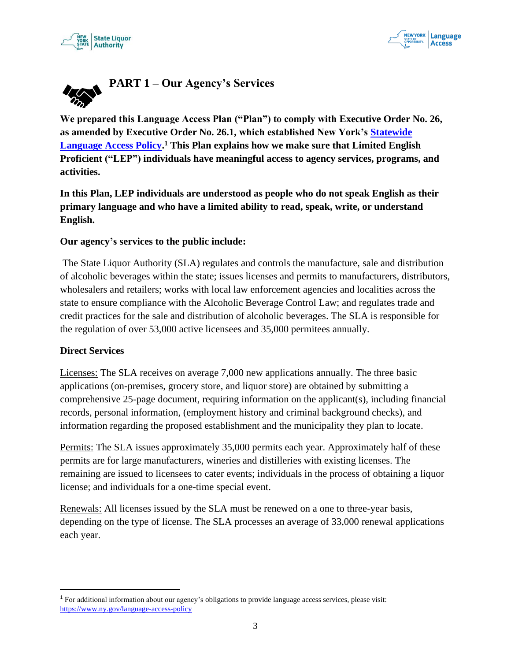



<span id="page-2-0"></span>

**We prepared this Language Access Plan ("Plan") to comply with Executive Order No. 26, as amended by Executive Order No. 26.1, which established New York's [Statewide](https://www.ny.gov/language-access-policy)  [Language Access Policy.](https://www.ny.gov/language-access-policy) <sup>1</sup> This Plan explains how we make sure that Limited English Proficient ("LEP") individuals have meaningful access to agency services, programs, and activities.**

**In this Plan, LEP individuals are understood as people who do not speak English as their primary language and who have a limited ability to read, speak, write, or understand English.** 

#### **Our agency's services to the public include:**

The State Liquor Authority (SLA) regulates and controls the manufacture, sale and distribution of alcoholic beverages within the state; issues licenses and permits to manufacturers, distributors, wholesalers and retailers; works with local law enforcement agencies and localities across the state to ensure compliance with the Alcoholic Beverage Control Law; and regulates trade and credit practices for the sale and distribution of alcoholic beverages. The SLA is responsible for the regulation of over 53,000 active licensees and 35,000 permitees annually.

#### **Direct Services**

Licenses: The SLA receives on average 7,000 new applications annually. The three basic applications (on-premises, grocery store, and liquor store) are obtained by submitting a comprehensive 25-page document, requiring information on the applicant(s), including financial records, personal information, (employment history and criminal background checks), and information regarding the proposed establishment and the municipality they plan to locate.

Permits: The SLA issues approximately 35,000 permits each year. Approximately half of these permits are for large manufacturers, wineries and distilleries with existing licenses. The remaining are issued to licensees to cater events; individuals in the process of obtaining a liquor license; and individuals for a one-time special event.

Renewals: All licenses issued by the SLA must be renewed on a one to three-year basis, depending on the type of license. The SLA processes an average of 33,000 renewal applications each year.

<sup>1</sup> For additional information about our agency's obligations to provide language access services, please visit: <https://www.ny.gov/language-access-policy>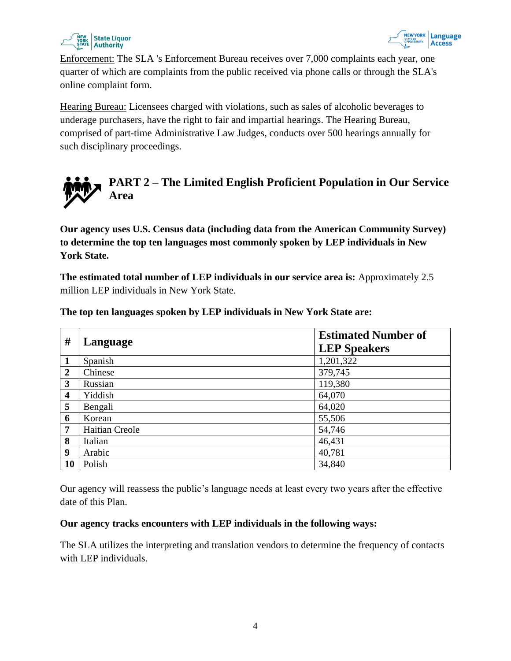



Enforcement: The SLA 's Enforcement Bureau receives over 7,000 complaints each year, one quarter of which are complaints from the public received via phone calls or through the SLA's online complaint form.

Hearing Bureau: Licensees charged with violations, such as sales of alcoholic beverages to underage purchasers, have the right to fair and impartial hearings. The Hearing Bureau, comprised of part-time Administrative Law Judges, conducts over 500 hearings annually for such disciplinary proceedings.

<span id="page-3-0"></span>

**Our agency uses U.S. Census data (including data from the American Community Survey) to determine the top ten languages most commonly spoken by LEP individuals in New York State.** 

**The estimated total number of LEP individuals in our service area is:** Approximately 2.5 million LEP individuals in New York State.

| #                       | Language       | <b>Estimated Number of</b><br><b>LEP Speakers</b> |
|-------------------------|----------------|---------------------------------------------------|
| $\mathbf{1}$            | Spanish        | 1,201,322                                         |
| $\boldsymbol{2}$        | Chinese        | 379,745                                           |
| 3                       | Russian        | 119,380                                           |
| $\overline{\mathbf{4}}$ | Yiddish        | 64,070                                            |
| 5                       | Bengali        | 64,020                                            |
| 6                       | Korean         | 55,506                                            |
| 7                       | Haitian Creole | 54,746                                            |
| 8                       | Italian        | 46,431                                            |
| 9                       | Arabic         | 40,781                                            |
| 10                      | Polish         | 34,840                                            |

**The top ten languages spoken by LEP individuals in New York State are:**

Our agency will reassess the public's language needs at least every two years after the effective date of this Plan.

#### **Our agency tracks encounters with LEP individuals in the following ways:**

The SLA utilizes the interpreting and translation vendors to determine the frequency of contacts with LEP individuals.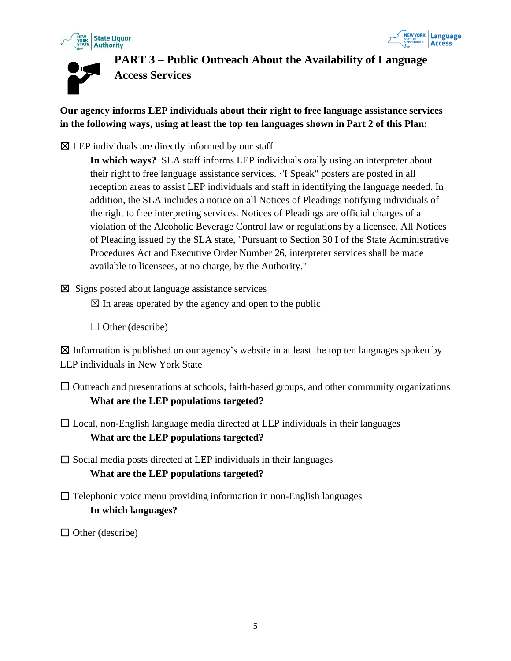





<span id="page-4-0"></span>**PART 3 – Public Outreach About the Availability of Language Access Services**

**Our agency informs LEP individuals about their right to free language assistance services in the following ways, using at least the top ten languages shown in Part 2 of this Plan:**

 $\boxtimes$  LEP individuals are directly informed by our staff

**In which ways?** SLA staff informs LEP individuals orally using an interpreter about their right to free language assistance services. ·'I Speak" posters are posted in all reception areas to assist LEP individuals and staff in identifying the language needed. In addition, the SLA includes a notice on all Notices of Pleadings notifying individuals of the right to free interpreting services. Notices of Pleadings are official charges of a violation of the Alcoholic Beverage Control law or regulations by a licensee. All Notices of Pleading issued by the SLA state, "Pursuant to Section 30 I of the State Administrative Procedures Act and Executive Order Number 26, interpreter services shall be made available to licensees, at no charge, by the Authority."

 $\boxtimes$  Signs posted about language assistance services

 $\boxtimes$  In areas operated by the agency and open to the public

 $\Box$  Other (describe)

☒ Information is published on our agency's website in at least the top ten languages spoken by LEP individuals in New York State

- □ Outreach and presentations at schools, faith-based groups, and other community organizations **What are the LEP populations targeted?**
- $\Box$  Local, non-English language media directed at LEP individuals in their languages **What are the LEP populations targeted?**
- $\square$  Social media posts directed at LEP individuals in their languages **What are the LEP populations targeted?**
- $\Box$  Telephonic voice menu providing information in non-English languages **In which languages?**

 $\Box$  Other (describe)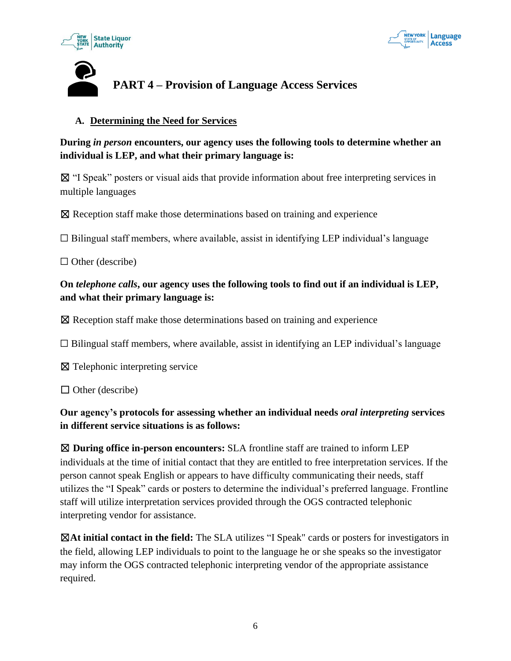



# <span id="page-5-0"></span>**PART 4 – Provision of Language Access Services**

#### **A. Determining the Need for Services**

#### **During** *in person* **encounters, our agency uses the following tools to determine whether an individual is LEP, and what their primary language is:**

☒ "I Speak" posters or visual aids that provide information about free interpreting services in multiple languages

☒ Reception staff make those determinations based on training and experience

 $\Box$  Bilingual staff members, where available, assist in identifying LEP individual's language

 $\Box$  Other (describe)

#### **On** *telephone calls***, our agency uses the following tools to find out if an individual is LEP, and what their primary language is:**

☒ Reception staff make those determinations based on training and experience

 $\Box$  Bilingual staff members, where available, assist in identifying an LEP individual's language

☒ Telephonic interpreting service

 $\Box$  Other (describe)

#### **Our agency's protocols for assessing whether an individual needs** *oral interpreting* **services in different service situations is as follows:**

☒ **During office in-person encounters:** SLA frontline staff are trained to inform LEP individuals at the time of initial contact that they are entitled to free interpretation services. If the person cannot speak English or appears to have difficulty communicating their needs, staff utilizes the "I Speak" cards or posters to determine the individual's preferred language. Frontline staff will utilize interpretation services provided through the OGS contracted telephonic interpreting vendor for assistance.

☒**At initial contact in the field:** The SLA utilizes "I Speak" cards or posters for investigators in the field, allowing LEP individuals to point to the language he or she speaks so the investigator may inform the OGS contracted telephonic interpreting vendor of the appropriate assistance required.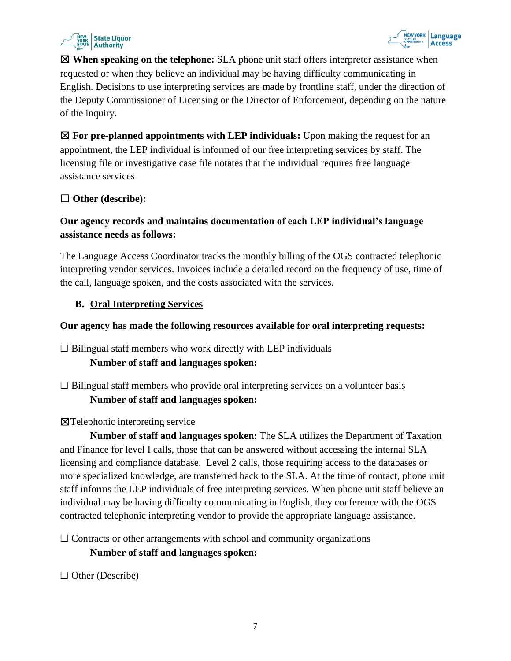



☒ **When speaking on the telephone:** SLA phone unit staff offers interpreter assistance when requested or when they believe an individual may be having difficulty communicating in English. Decisions to use interpreting services are made by frontline staff, under the direction of the Deputy Commissioner of Licensing or the Director of Enforcement, depending on the nature of the inquiry.

☒ **For pre-planned appointments with LEP individuals:** Upon making the request for an appointment, the LEP individual is informed of our free interpreting services by staff. The licensing file or investigative case file notates that the individual requires free language assistance services

#### ☐ **Other (describe):**

#### **Our agency records and maintains documentation of each LEP individual's language assistance needs as follows:**

The Language Access Coordinator tracks the monthly billing of the OGS contracted telephonic interpreting vendor services. Invoices include a detailed record on the frequency of use, time of the call, language spoken, and the costs associated with the services.

#### **B. Oral Interpreting Services**

#### **Our agency has made the following resources available for oral interpreting requests:**

 $\Box$  Bilingual staff members who work directly with LEP individuals

#### **Number of staff and languages spoken:**

 $\Box$  Bilingual staff members who provide oral interpreting services on a volunteer basis **Number of staff and languages spoken:**

#### ☒Telephonic interpreting service

**Number of staff and languages spoken:** The SLA utilizes the Department of Taxation and Finance for level I calls, those that can be answered without accessing the internal SLA licensing and compliance database. Level 2 calls, those requiring access to the databases or more specialized knowledge, are transferred back to the SLA. At the time of contact, phone unit staff informs the LEP individuals of free interpreting services. When phone unit staff believe an individual may be having difficulty communicating in English, they conference with the OGS contracted telephonic interpreting vendor to provide the appropriate language assistance.

 $\Box$  Contracts or other arrangements with school and community organizations **Number of staff and languages spoken:**

 $\Box$  Other (Describe)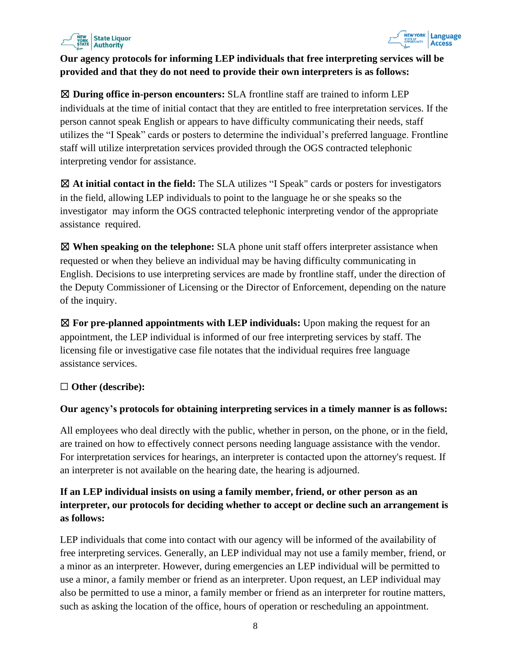



#### **Our agency protocols for informing LEP individuals that free interpreting services will be provided and that they do not need to provide their own interpreters is as follows:**

☒ **During office in-person encounters:** SLA frontline staff are trained to inform LEP individuals at the time of initial contact that they are entitled to free interpretation services. If the person cannot speak English or appears to have difficulty communicating their needs, staff utilizes the "I Speak" cards or posters to determine the individual's preferred language. Frontline staff will utilize interpretation services provided through the OGS contracted telephonic interpreting vendor for assistance.

☒ **At initial contact in the field:** The SLA utilizes "I Speak" cards or posters for investigators in the field, allowing LEP individuals to point to the language he or she speaks so the investigator may inform the OGS contracted telephonic interpreting vendor of the appropriate assistance required.

☒ **When speaking on the telephone:** SLA phone unit staff offers interpreter assistance when requested or when they believe an individual may be having difficulty communicating in English. Decisions to use interpreting services are made by frontline staff, under the direction of the Deputy Commissioner of Licensing or the Director of Enforcement, depending on the nature of the inquiry.

☒ **For pre-planned appointments with LEP individuals:** Upon making the request for an appointment, the LEP individual is informed of our free interpreting services by staff. The licensing file or investigative case file notates that the individual requires free language assistance services.

#### ☐ **Other (describe):**

#### **Our agency's protocols for obtaining interpreting services in a timely manner is as follows:**

All employees who deal directly with the public, whether in person, on the phone, or in the field, are trained on how to effectively connect persons needing language assistance with the vendor. For interpretation services for hearings, an interpreter is contacted upon the attorney's request. If an interpreter is not available on the hearing date, the hearing is adjourned.

#### **If an LEP individual insists on using a family member, friend, or other person as an interpreter, our protocols for deciding whether to accept or decline such an arrangement is as follows:**

LEP individuals that come into contact with our agency will be informed of the availability of free interpreting services. Generally, an LEP individual may not use a family member, friend, or a minor as an interpreter. However, during emergencies an LEP individual will be permitted to use a minor, a family member or friend as an interpreter. Upon request, an LEP individual may also be permitted to use a minor, a family member or friend as an interpreter for routine matters, such as asking the location of the office, hours of operation or rescheduling an appointment.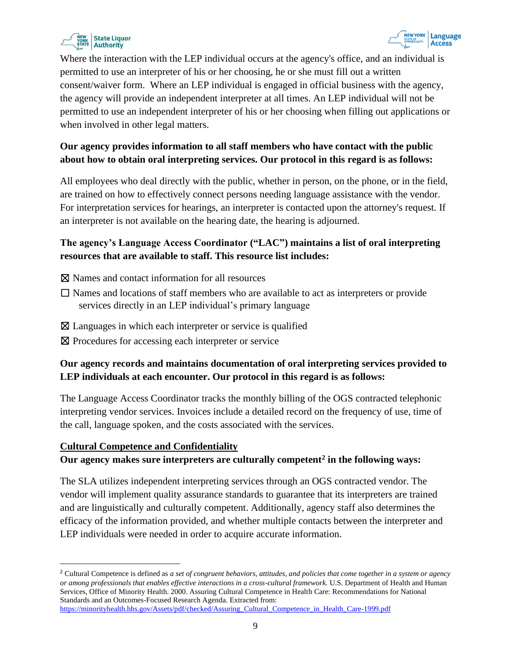



Where the interaction with the LEP individual occurs at the agency's office, and an individual is permitted to use an interpreter of his or her choosing, he or she must fill out a written consent/waiver form. Where an LEP individual is engaged in official business with the agency, the agency will provide an independent interpreter at all times. An LEP individual will not be permitted to use an independent interpreter of his or her choosing when filling out applications or when involved in other legal matters.

#### **Our agency provides information to all staff members who have contact with the public about how to obtain oral interpreting services. Our protocol in this regard is as follows:**

All employees who deal directly with the public, whether in person, on the phone, or in the field, are trained on how to effectively connect persons needing language assistance with the vendor. For interpretation services for hearings, an interpreter is contacted upon the attorney's request. If an interpreter is not available on the hearing date, the hearing is adjourned.

#### **The agency's Language Access Coordinator ("LAC") maintains a list of oral interpreting resources that are available to staff. This resource list includes:**

- ☒ Names and contact information for all resources
- ☐ Names and locations of staff members who are available to act as interpreters or provide services directly in an LEP individual's primary language
- $\boxtimes$  Languages in which each interpreter or service is qualified
- ⊠ Procedures for accessing each interpreter or service

#### **Our agency records and maintains documentation of oral interpreting services provided to LEP individuals at each encounter. Our protocol in this regard is as follows:**

The Language Access Coordinator tracks the monthly billing of the OGS contracted telephonic interpreting vendor services. Invoices include a detailed record on the frequency of use, time of the call, language spoken, and the costs associated with the services.

#### **Cultural Competence and Confidentiality**

#### **Our agency makes sure interpreters are culturally competent<sup>2</sup> in the following ways:**

The SLA utilizes independent interpreting services through an OGS contracted vendor. The vendor will implement quality assurance standards to guarantee that its interpreters are trained and are linguistically and culturally competent. Additionally, agency staff also determines the efficacy of the information provided, and whether multiple contacts between the interpreter and LEP individuals were needed in order to acquire accurate information.

<sup>2</sup> Cultural Competence is defined as *a set of congruent behaviors, attitudes, and policies that come together in a system or agency or among professionals that enables effective interactions in a cross-cultural framework.* U.S. Department of Health and Human Services, Office of Minority Health. 2000. Assuring Cultural Competence in Health Care: Recommendations for National Standards and an Outcomes-Focused Research Agenda. Extracted from: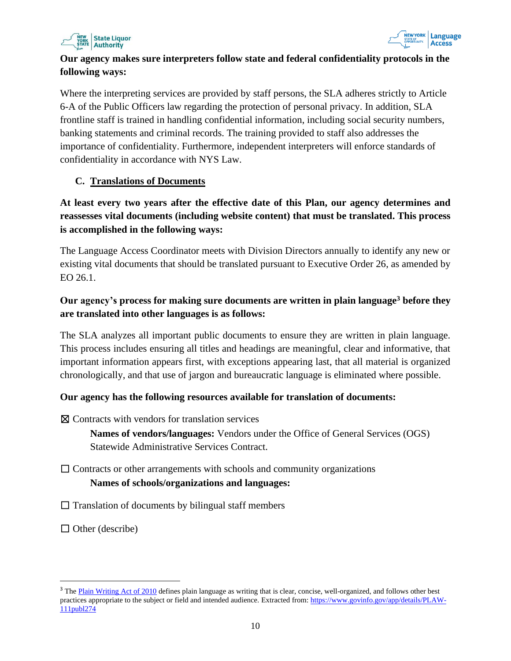



#### **Our agency makes sure interpreters follow state and federal confidentiality protocols in the following ways:**

Where the interpreting services are provided by staff persons, the SLA adheres strictly to Article 6-A of the Public Officers law regarding the protection of personal privacy. In addition, SLA frontline staff is trained in handling confidential information, including social security numbers, banking statements and criminal records. The training provided to staff also addresses the importance of confidentiality. Furthermore, independent interpreters will enforce standards of confidentiality in accordance with NYS Law.

#### **C. Translations of Documents**

#### **At least every two years after the effective date of this Plan, our agency determines and reassesses vital documents (including website content) that must be translated. This process is accomplished in the following ways:**

The Language Access Coordinator meets with Division Directors annually to identify any new or existing vital documents that should be translated pursuant to Executive Order 26, as amended by EO 26.1.

#### **Our agency's process for making sure documents are written in plain language<sup>3</sup> before they are translated into other languages is as follows:**

The SLA analyzes all important public documents to ensure they are written in plain language. This process includes ensuring all titles and headings are meaningful, clear and informative, that important information appears first, with exceptions appearing last, that all material is organized chronologically, and that use of jargon and bureaucratic language is eliminated where possible.

#### **Our agency has the following resources available for translation of documents:**

☒ Contracts with vendors for translation services

**Names of vendors/languages:** Vendors under the Office of General Services (OGS) Statewide Administrative Services Contract.

- $\Box$  Contracts or other arrangements with schools and community organizations **Names of schools/organizations and languages:**
- $\Box$  Translation of documents by bilingual staff members
- $\Box$  Other (describe)

<sup>&</sup>lt;sup>3</sup> The [Plain Writing Act of 2010](https://www.govinfo.gov/app/details/PLAW-111publ274) defines plain language as writing that is clear, concise, well-organized, and follows other best practices appropriate to the subject or field and intended audience. Extracted from: [https://www.govinfo.gov/app/details/PLAW-](https://www.govinfo.gov/app/details/PLAW-111publ274)[111publ274](https://www.govinfo.gov/app/details/PLAW-111publ274)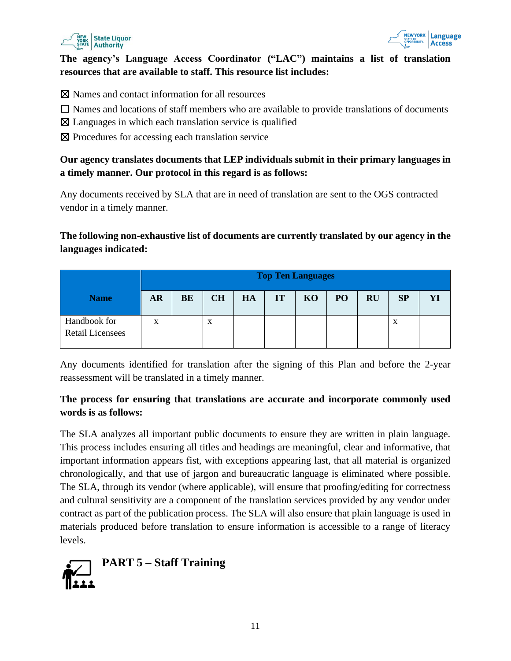



#### **The agency's Language Access Coordinator ("LAC") maintains a list of translation resources that are available to staff. This resource list includes:**

- ☒ Names and contact information for all resources
- $\Box$  Names and locations of staff members who are available to provide translations of documents
- $\boxtimes$  Languages in which each translation service is qualified
- ⊠ Procedures for accessing each translation service

#### **Our agency translates documents that LEP individuals submit in their primary languages in a timely manner. Our protocol in this regard is as follows:**

Any documents received by SLA that are in need of translation are sent to the OGS contracted vendor in a timely manner.

#### **The following non-exhaustive list of documents are currently translated by our agency in the languages indicated:**

|                                         | <b>Top Ten Languages</b> |           |           |    |    |    |    |           |    |    |
|-----------------------------------------|--------------------------|-----------|-----------|----|----|----|----|-----------|----|----|
| <b>Name</b>                             | <b>AR</b>                | <b>BE</b> | <b>CH</b> | HA | IT | KO | PO | <b>RU</b> | SP | YI |
| Handbook for<br><b>Retail Licensees</b> | X                        |           | X         |    |    |    |    |           | X  |    |

Any documents identified for translation after the signing of this Plan and before the 2-year reassessment will be translated in a timely manner.

#### **The process for ensuring that translations are accurate and incorporate commonly used words is as follows:**

The SLA analyzes all important public documents to ensure they are written in plain language. This process includes ensuring all titles and headings are meaningful, clear and informative, that important information appears fist, with exceptions appearing last, that all material is organized chronologically, and that use of jargon and bureaucratic language is eliminated where possible. The SLA, through its vendor (where applicable), will ensure that proofing/editing for correctness and cultural sensitivity are a component of the translation services provided by any vendor under contract as part of the publication process. The SLA will also ensure that plain language is used in materials produced before translation to ensure information is accessible to a range of literacy levels.

<span id="page-10-0"></span>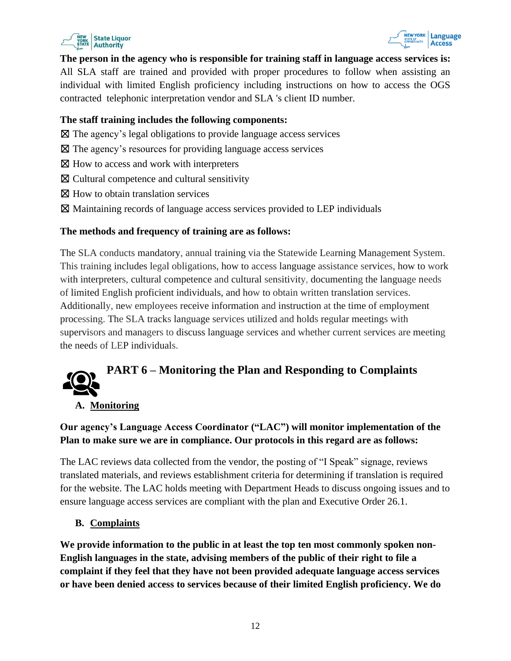



**The person in the agency who is responsible for training staff in language access services is:** All SLA staff are trained and provided with proper procedures to follow when assisting an individual with limited English proficiency including instructions on how to access the OGS contracted telephonic interpretation vendor and SLA 's client ID number.

#### **The staff training includes the following components:**

- $\boxtimes$  The agency's legal obligations to provide language access services
- ☒ The agency's resources for providing language access services
- $\boxtimes$  How to access and work with interpreters
- ☒ Cultural competence and cultural sensitivity
- $\boxtimes$  How to obtain translation services
- ☒ Maintaining records of language access services provided to LEP individuals

#### **The methods and frequency of training are as follows:**

The SLA conducts mandatory, annual training via the Statewide Learning Management System. This training includes legal obligations, how to access language assistance services, how to work with interpreters, cultural competence and cultural sensitivity, documenting the language needs of limited English proficient individuals, and how to obtain written translation services. Additionally, new employees receive information and instruction at the time of employment processing. The SLA tracks language services utilized and holds regular meetings with supervisors and managers to discuss language services and whether current services are meeting the needs of LEP individuals.

## <span id="page-11-0"></span>**PART 6 – Monitoring the Plan and Responding to Complaints**

#### **A. Monitoring**

#### **Our agency's Language Access Coordinator ("LAC") will monitor implementation of the Plan to make sure we are in compliance. Our protocols in this regard are as follows:**

The LAC reviews data collected from the vendor, the posting of "I Speak" signage, reviews translated materials, and reviews establishment criteria for determining if translation is required for the website. The LAC holds meeting with Department Heads to discuss ongoing issues and to ensure language access services are compliant with the plan and Executive Order 26.1.

#### **B. Complaints**

**We provide information to the public in at least the top ten most commonly spoken non-English languages in the state, advising members of the public of their right to file a complaint if they feel that they have not been provided adequate language access services or have been denied access to services because of their limited English proficiency. We do**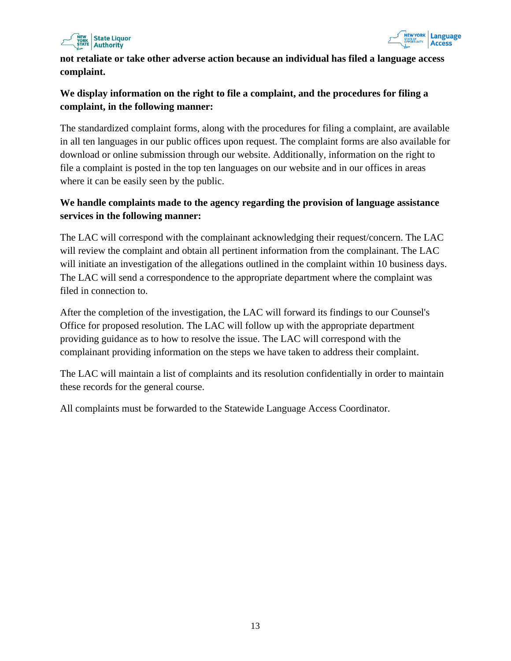



**not retaliate or take other adverse action because an individual has filed a language access complaint.** 

#### **We display information on the right to file a complaint, and the procedures for filing a complaint, in the following manner:**

The standardized complaint forms, along with the procedures for filing a complaint, are available in all ten languages in our public offices upon request. The complaint forms are also available for download or online submission through our website. Additionally, information on the right to file a complaint is posted in the top ten languages on our website and in our offices in areas where it can be easily seen by the public.

#### **We handle complaints made to the agency regarding the provision of language assistance services in the following manner:**

The LAC will correspond with the complainant acknowledging their request/concern. The LAC will review the complaint and obtain all pertinent information from the complainant. The LAC will initiate an investigation of the allegations outlined in the complaint within 10 business days. The LAC will send a correspondence to the appropriate department where the complaint was filed in connection to.

After the completion of the investigation, the LAC will forward its findings to our Counsel's Office for proposed resolution. The LAC will follow up with the appropriate department providing guidance as to how to resolve the issue. The LAC will correspond with the complainant providing information on the steps we have taken to address their complaint.

The LAC will maintain a list of complaints and its resolution confidentially in order to maintain these records for the general course.

<span id="page-12-0"></span>All complaints must be forwarded to the Statewide Language Access Coordinator.